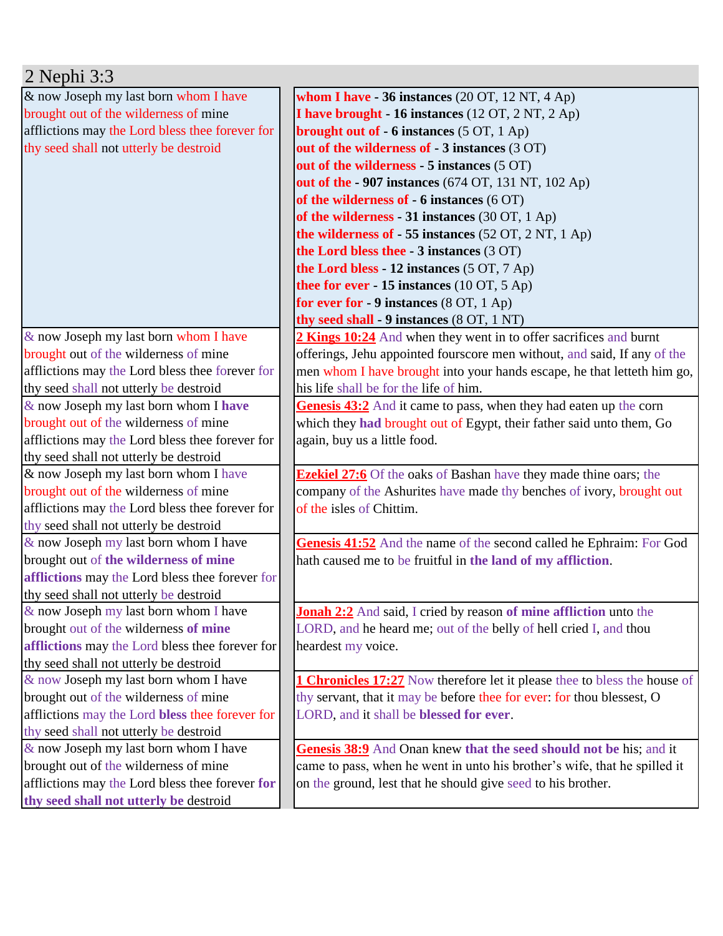| $2$ Nephi $3:3$                                 |                                                                                  |
|-------------------------------------------------|----------------------------------------------------------------------------------|
| & now Joseph my last born whom I have           | whom I have $-36$ instances (20 OT, 12 NT, 4 Ap)                                 |
| brought out of the wilderness of mine           | I have brought - 16 instances (12 OT, 2 NT, 2 Ap)                                |
| afflictions may the Lord bless thee forever for | <b>brought out of - 6 instances</b> $(5 OT, 1 Ap)$                               |
| thy seed shall not utterly be destroid          | out of the wilderness of - 3 instances (3 OT)                                    |
|                                                 | out of the wilderness - 5 instances (5 OT)                                       |
|                                                 | out of the - 907 instances (674 OT, 131 NT, 102 Ap)                              |
|                                                 | of the wilderness of $-6$ instances (6 OT)                                       |
|                                                 | of the wilderness - 31 instances (30 OT, 1 Ap)                                   |
|                                                 | the wilderness of $-55$ instances (52 OT, 2 NT, 1 Ap)                            |
|                                                 | the Lord bless thee - 3 instances (3 OT)                                         |
|                                                 | the Lord bless - 12 instances (5 OT, 7 Ap)                                       |
|                                                 | thee for ever - 15 instances $(10 \text{ OT}, 5 \text{ Ap})$                     |
|                                                 | for ever for $-9$ instances (8 OT, 1 Ap)                                         |
|                                                 | thy seed shall - 9 instances (8 OT, 1 NT)                                        |
| & now Joseph my last born whom I have           | 2 Kings 10:24 And when they went in to offer sacrifices and burnt                |
| brought out of the wilderness of mine           | offerings, Jehu appointed fourscore men without, and said, If any of the         |
| afflictions may the Lord bless thee forever for | men whom I have brought into your hands escape, he that letteth him go,          |
| thy seed shall not utterly be destroid          | his life shall be for the life of him.                                           |
| & now Joseph my last born whom I have           | Genesis 43:2 And it came to pass, when they had eaten up the corn                |
| brought out of the wilderness of mine           | which they had brought out of Egypt, their father said unto them, Go             |
| afflictions may the Lord bless thee forever for | again, buy us a little food.                                                     |
| thy seed shall not utterly be destroid          |                                                                                  |
| & now Joseph my last born whom I have           | <b>Ezekiel 27:6</b> Of the oaks of Bashan have they made thine oars; the         |
| brought out of the wilderness of mine           | company of the Ashurites have made thy benches of ivory, brought out             |
| afflictions may the Lord bless thee forever for | of the isles of Chittim.                                                         |
| thy seed shall not utterly be destroid          |                                                                                  |
| $\&$ now Joseph my last born whom I have        | Genesis 41:52 And the name of the second called he Ephraim: For God              |
| brought out of the wilderness of mine           | hath caused me to be fruitful in the land of my affliction.                      |
| afflictions may the Lord bless thee forever for |                                                                                  |
| thy seed shall not utterly be destroid          |                                                                                  |
| $\&$ now Joseph my last born whom I have        | <b>Jonah 2:2</b> And said, I cried by reason of mine affliction unto the         |
| brought out of the wilderness of mine           | LORD, and he heard me; out of the belly of hell cried I, and thou                |
| afflictions may the Lord bless thee forever for | heardest my voice.                                                               |
| thy seed shall not utterly be destroid          |                                                                                  |
| & now Joseph my last born whom I have           | <b>1 Chronicles 17:27</b> Now therefore let it please thee to bless the house of |
| brought out of the wilderness of mine           | thy servant, that it may be before thee for ever: for thou blessest, O           |
| afflictions may the Lord bless thee forever for | LORD, and it shall be blessed for ever.                                          |
| thy seed shall not utterly be destroid          |                                                                                  |
| & now Joseph my last born whom I have           | Genesis 38:9 And Onan knew that the seed should not be his; and it               |
| brought out of the wilderness of mine           | came to pass, when he went in unto his brother's wife, that he spilled it        |
| afflictions may the Lord bless thee forever for | on the ground, lest that he should give seed to his brother.                     |
| thy seed shall not utterly be destroid          |                                                                                  |